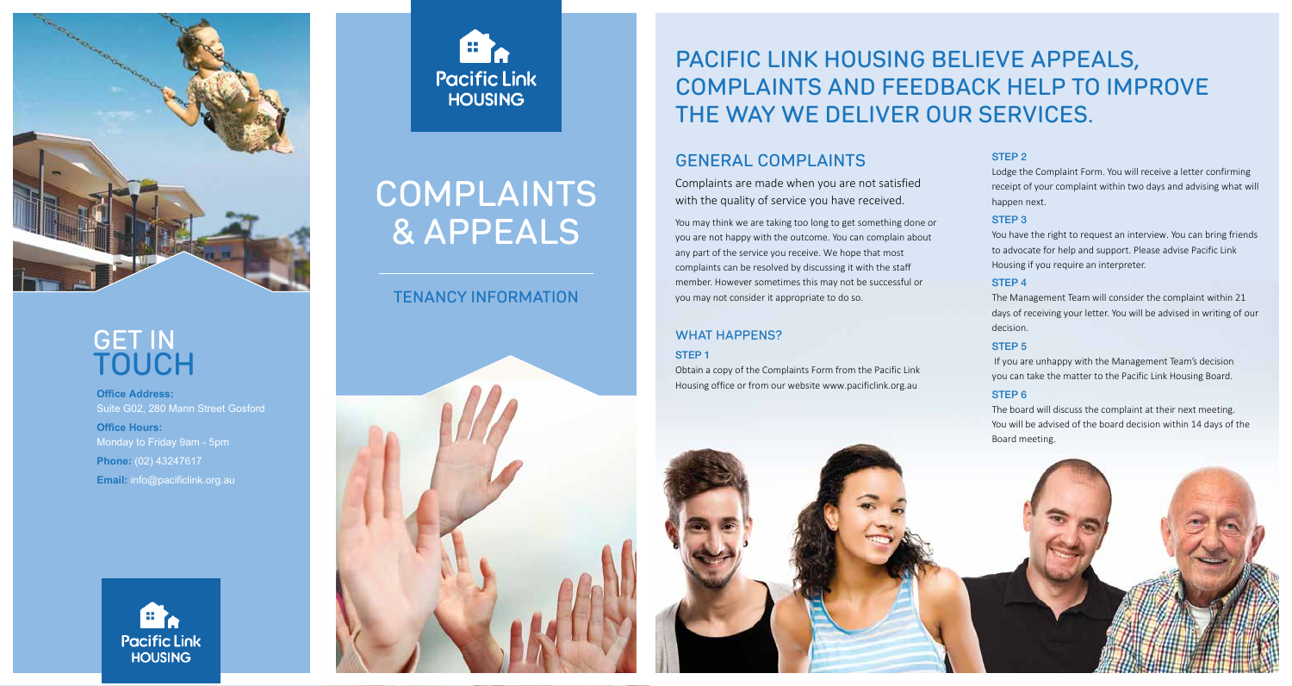

## **GET IN TOUCH**

**Office Address:** Suite G02, 280 Mann Street Gosford **Office Hours: Phone:** (02) 43247617 **Email:** info@pacificlink.org.au





# **COMPLAINTS & APPEALS**

### **TENANCY INFORMATION**



## **PACIFIC LINK HOUSING BELIEVE APPEALS, COMPLAINTS AND FEEDBACK HELP TO IMPROVE THE WAY WE DELIVER OUR SERVICES.**

## **GENERAL COMPLAINTS**

Complaints are made when you are not satisfied with the quality of service you have received.

You may think we are taking too long to get something done or you are not happy with the outcome. You can complain about any part of the service you receive. We hope that most complaints can be resolved by discussing it with the staff member. However sometimes this may not be successful or you may not consider it appropriate to do so.

#### **WHAT HAPPENS?** STEP 1

Obtain a copy of the Complaints Form from the Pacific Link Housing office or from our website www.pacificlink.org.au

#### STEP 2

Lodge the Complaint Form. You will receive a letter confirming receipt of your complaint within two days and advising what will happen next.

#### STEP 3

You have the right to request an interview. You can bring friends to advocate for help and support. Please advise Pacific Link Housing if you require an interpreter.

#### STEP 4

The Management Team will consider the complaint within 21 days of receiving your letter. You will be advised in writing of our decision.

#### STEP<sub>5</sub>

If you are unhappy with the Management Team's decision you can take the matter to the Pacific Link Housing Board.

#### STEP 6

The board will discuss the complaint at their next meeting. You will be advised of the board decision within 14 days of the Board meeting.